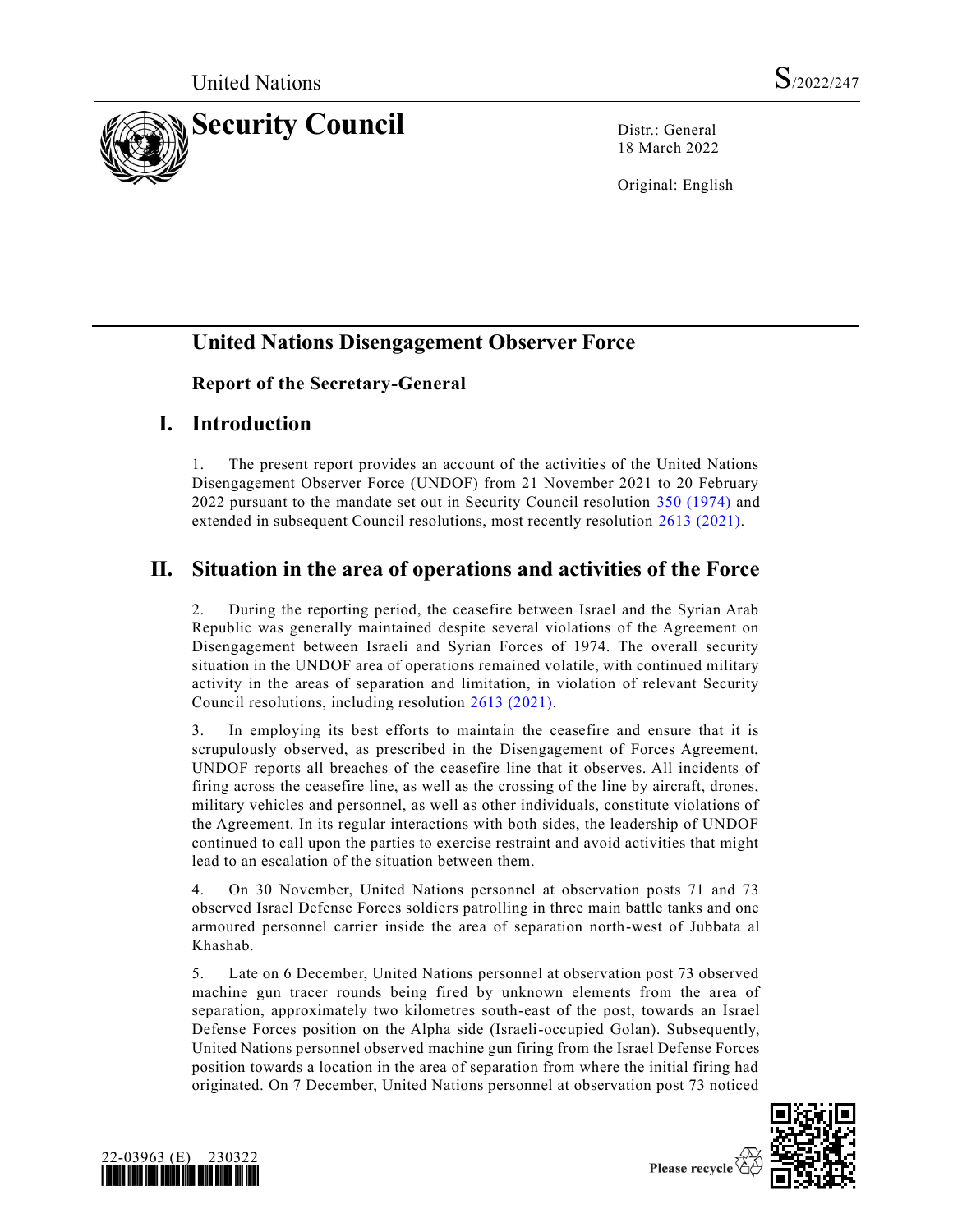

18 March 2022

Original: English

# **United Nations Disengagement Observer Force**

#### **Report of the Secretary-General**

#### **I. Introduction**

1. The present report provides an account of the activities of the United Nations Disengagement Observer Force (UNDOF) from 21 November 2021 to 20 February 2022 pursuant to the mandate set out in Security Council resolution [350 \(1974\)](https://undocs.org/en/S/RES/350(1974)) and extended in subsequent Council resolutions, most recently resolution [2613 \(2021\).](https://undocs.org/en/S/RES/2613(2021))

## **II. Situation in the area of operations and activities of the Force**

2. During the reporting period, the ceasefire between Israel and the Syrian Arab Republic was generally maintained despite several violations of the Agreement on Disengagement between Israeli and Syrian Forces of 1974. The overall security situation in the UNDOF area of operations remained volatile, with continued military activity in the areas of separation and limitation, in violation of relevant Security Council resolutions, including resolution [2613 \(2021\).](https://undocs.org/en/S/RES/2613(2021))

3. In employing its best efforts to maintain the ceasefire and ensure that it is scrupulously observed, as prescribed in the Disengagement of Forces Agreement, UNDOF reports all breaches of the ceasefire line that it observes. All incidents of firing across the ceasefire line, as well as the crossing of the line by aircraft, drones, military vehicles and personnel, as well as other individuals, constitute violations of the Agreement. In its regular interactions with both sides, the leadership of UNDOF continued to call upon the parties to exercise restraint and avoid activities that might lead to an escalation of the situation between them.

4. On 30 November, United Nations personnel at observation posts 71 and 73 observed Israel Defense Forces soldiers patrolling in three main battle tanks and one armoured personnel carrier inside the area of separation north-west of Jubbata al Khashab.

5. Late on 6 December, United Nations personnel at observation post 73 observed machine gun tracer rounds being fired by unknown elements from the area of separation, approximately two kilometres south-east of the post, towards an Israel Defense Forces position on the Alpha side (Israeli-occupied Golan). Subsequently, United Nations personnel observed machine gun firing from the Israel Defense Forces position towards a location in the area of separation from where the initial firing had originated. On 7 December, United Nations personnel at observation post 73 noticed



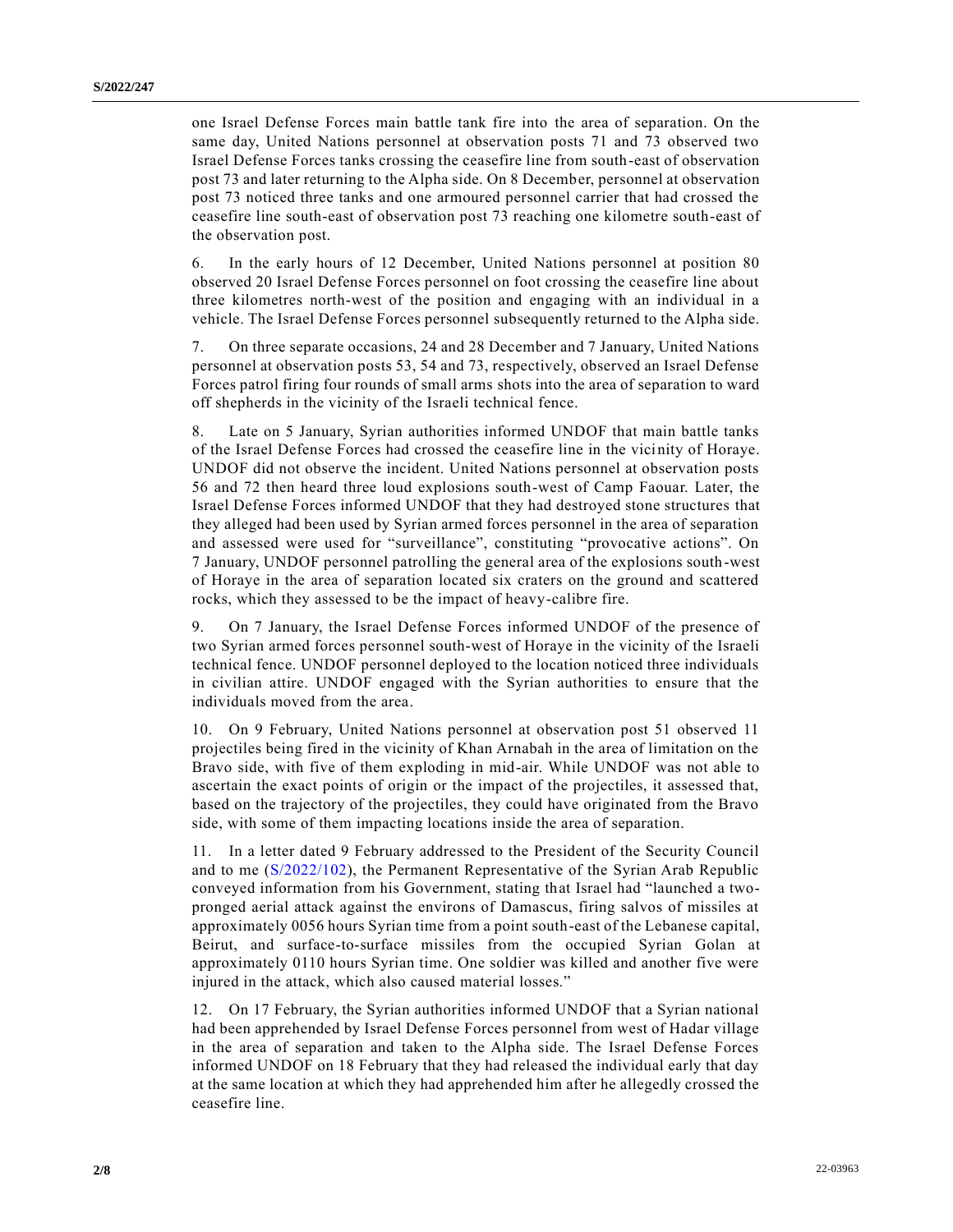one Israel Defense Forces main battle tank fire into the area of separation. On the same day, United Nations personnel at observation posts 71 and 73 observed two Israel Defense Forces tanks crossing the ceasefire line from south-east of observation post 73 and later returning to the Alpha side. On 8 December, personnel at observation post 73 noticed three tanks and one armoured personnel carrier that had crossed the ceasefire line south-east of observation post 73 reaching one kilometre south-east of the observation post.

6. In the early hours of 12 December, United Nations personnel at position 80 observed 20 Israel Defense Forces personnel on foot crossing the ceasefire line about three kilometres north-west of the position and engaging with an individual in a vehicle. The Israel Defense Forces personnel subsequently returned to the Alpha side.

7. On three separate occasions, 24 and 28 December and 7 January, United Nations personnel at observation posts 53, 54 and 73, respectively, observed an Israel Defense Forces patrol firing four rounds of small arms shots into the area of separation to ward off shepherds in the vicinity of the Israeli technical fence.

8. Late on 5 January, Syrian authorities informed UNDOF that main battle tanks of the Israel Defense Forces had crossed the ceasefire line in the vicinity of Horaye. UNDOF did not observe the incident. United Nations personnel at observation posts 56 and 72 then heard three loud explosions south-west of Camp Faouar. Later, the Israel Defense Forces informed UNDOF that they had destroyed stone structures that they alleged had been used by Syrian armed forces personnel in the area of separation and assessed were used for "surveillance", constituting "provocative actions". On 7 January, UNDOF personnel patrolling the general area of the explosions south-west of Horaye in the area of separation located six craters on the ground and scattered rocks, which they assessed to be the impact of heavy-calibre fire.

9. On 7 January, the Israel Defense Forces informed UNDOF of the presence of two Syrian armed forces personnel south-west of Horaye in the vicinity of the Israeli technical fence. UNDOF personnel deployed to the location noticed three individuals in civilian attire. UNDOF engaged with the Syrian authorities to ensure that the individuals moved from the area.

10. On 9 February, United Nations personnel at observation post 51 observed 11 projectiles being fired in the vicinity of Khan Arnabah in the area of limitation on the Bravo side, with five of them exploding in mid-air. While UNDOF was not able to ascertain the exact points of origin or the impact of the projectiles, it assessed that, based on the trajectory of the projectiles, they could have originated from the Bravo side, with some of them impacting locations inside the area of separation.

11. In a letter dated 9 February addressed to the President of the Security Council and to me [\(S/2022/102\)](https://undocs.org/en/S/2022/102), the Permanent Representative of the Syrian Arab Republic conveyed information from his Government, stating that Israel had "launched a twopronged aerial attack against the environs of Damascus, firing salvos of missiles at approximately 0056 hours Syrian time from a point south-east of the Lebanese capital, Beirut, and surface-to-surface missiles from the occupied Syrian Golan at approximately 0110 hours Syrian time. One soldier was killed and another five were injured in the attack, which also caused material losses."

12. On 17 February, the Syrian authorities informed UNDOF that a Syrian national had been apprehended by Israel Defense Forces personnel from west of Hadar village in the area of separation and taken to the Alpha side. The Israel Defense Forces informed UNDOF on 18 February that they had released the individual early that day at the same location at which they had apprehended him after he allegedly crossed the ceasefire line.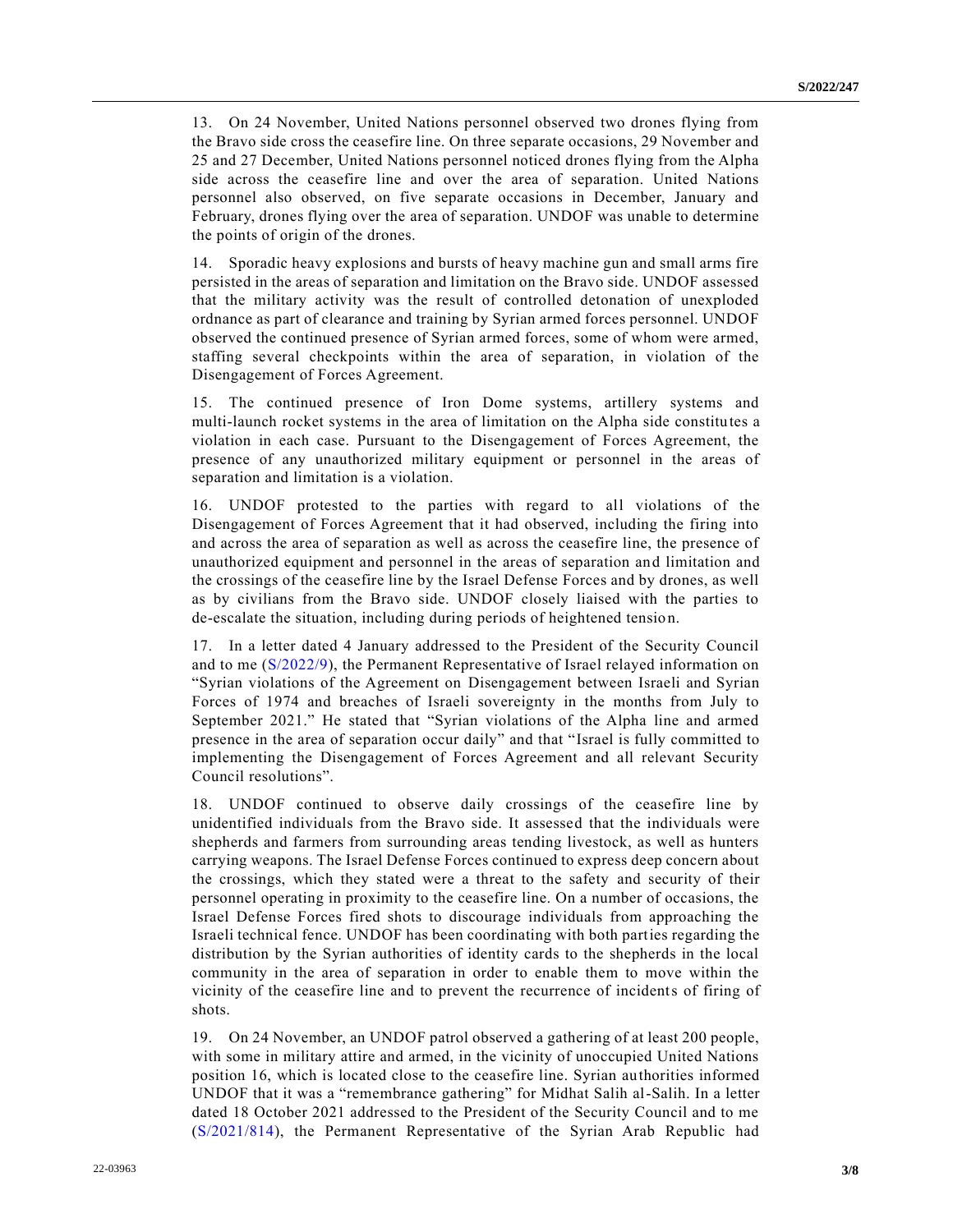13. On 24 November, United Nations personnel observed two drones flying from the Bravo side cross the ceasefire line. On three separate occasions, 29 November and 25 and 27 December, United Nations personnel noticed drones flying from the Alpha side across the ceasefire line and over the area of separation. United Nations personnel also observed, on five separate occasions in December, January and February, drones flying over the area of separation. UNDOF was unable to determine the points of origin of the drones.

14. Sporadic heavy explosions and bursts of heavy machine gun and small arms fire persisted in the areas of separation and limitation on the Bravo side. UNDOF assessed that the military activity was the result of controlled detonation of unexploded ordnance as part of clearance and training by Syrian armed forces personnel. UNDOF observed the continued presence of Syrian armed forces, some of whom were armed, staffing several checkpoints within the area of separation, in violation of the Disengagement of Forces Agreement.

15. The continued presence of Iron Dome systems, artillery systems and multi-launch rocket systems in the area of limitation on the Alpha side constitutes a violation in each case. Pursuant to the Disengagement of Forces Agreement, the presence of any unauthorized military equipment or personnel in the areas of separation and limitation is a violation.

16. UNDOF protested to the parties with regard to all violations of the Disengagement of Forces Agreement that it had observed, including the firing into and across the area of separation as well as across the ceasefire line, the presence of unauthorized equipment and personnel in the areas of separation and limitation and the crossings of the ceasefire line by the Israel Defense Forces and by drones, as well as by civilians from the Bravo side. UNDOF closely liaised with the parties to de-escalate the situation, including during periods of heightened tension.

17. In a letter dated 4 January addressed to the President of the Security Council and to me [\(S/2022/9\)](https://undocs.org/en/S/2022/9), the Permanent Representative of Israel relayed information on "Syrian violations of the Agreement on Disengagement between Israeli and Syrian Forces of 1974 and breaches of Israeli sovereignty in the months from July to September 2021." He stated that "Syrian violations of the Alpha line and armed presence in the area of separation occur daily" and that "Israel is fully committed to implementing the Disengagement of Forces Agreement and all relevant Security Council resolutions".

18. UNDOF continued to observe daily crossings of the ceasefire line by unidentified individuals from the Bravo side. It assessed that the individuals were shepherds and farmers from surrounding areas tending livestock, as well as hunters carrying weapons. The Israel Defense Forces continued to express deep concern about the crossings, which they stated were a threat to the safety and security of their personnel operating in proximity to the ceasefire line. On a number of occasions, the Israel Defense Forces fired shots to discourage individuals from approaching the Israeli technical fence. UNDOF has been coordinating with both parties regarding the distribution by the Syrian authorities of identity cards to the shepherds in the local community in the area of separation in order to enable them to move within the vicinity of the ceasefire line and to prevent the recurrence of incidents of firing of shots.

19. On 24 November, an UNDOF patrol observed a gathering of at least 200 people, with some in military attire and armed, in the vicinity of unoccupied United Nations position 16, which is located close to the ceasefire line. Syrian authorities informed UNDOF that it was a "remembrance gathering" for Midhat Salih al-Salih. In a letter dated 18 October 2021 addressed to the President of the Security Council and to me [\(S/2021/814\)](https://undocs.org/en/S/2021/814), the Permanent Representative of the Syrian Arab Republic had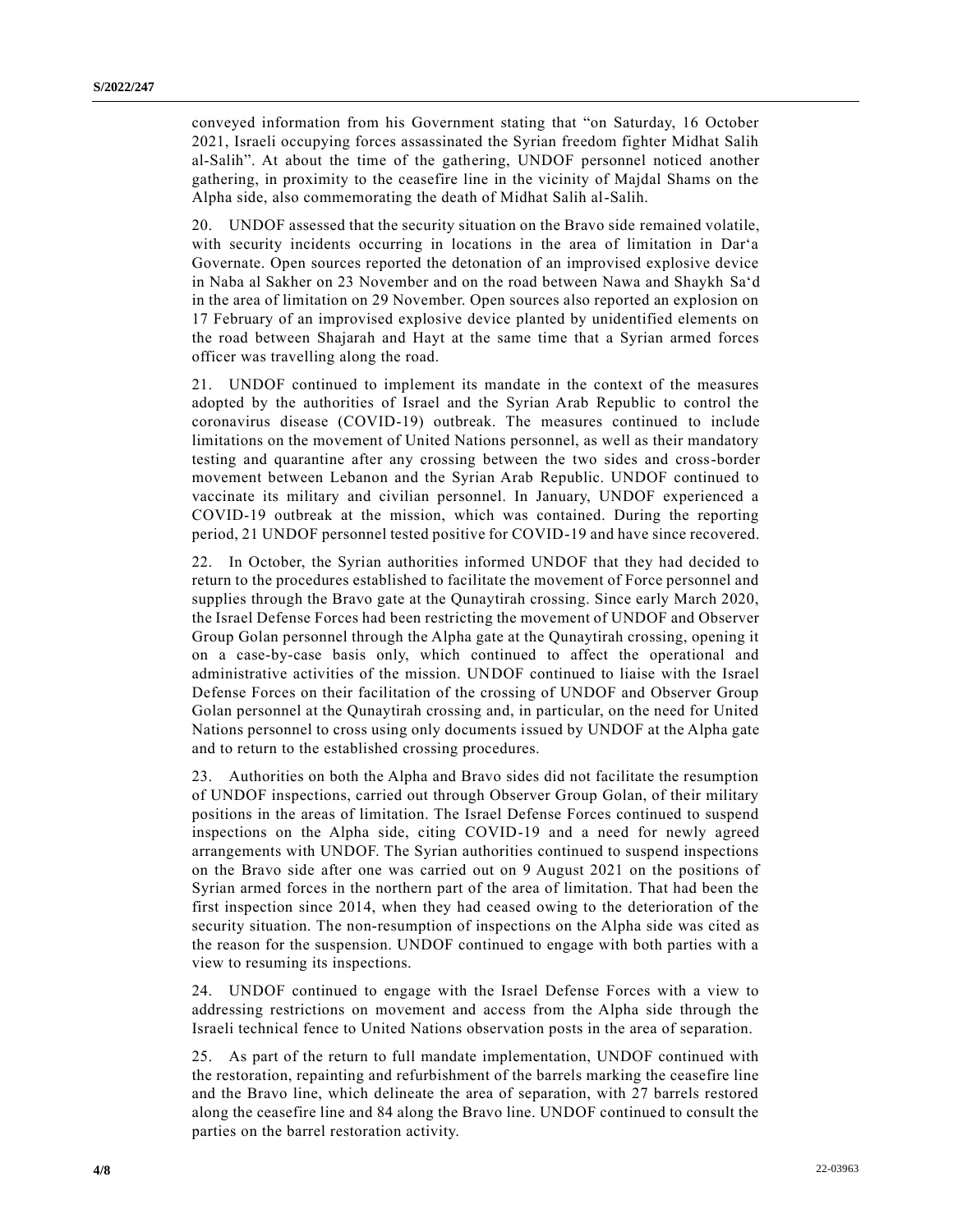conveyed information from his Government stating that "on Saturday, 16 October 2021, Israeli occupying forces assassinated the Syrian freedom fighter Midhat Salih al-Salih". At about the time of the gathering, UNDOF personnel noticed another gathering, in proximity to the ceasefire line in the vicinity of Majdal Shams on the Alpha side, also commemorating the death of Midhat Salih al-Salih.

20. UNDOF assessed that the security situation on the Bravo side remained volatile, with security incidents occurring in locations in the area of limitation in Dar'a Governate. Open sources reported the detonation of an improvised explosive device in Naba al Sakher on 23 November and on the road between Nawa and Shaykh Sa'd in the area of limitation on 29 November. Open sources also reported an explosion on 17 February of an improvised explosive device planted by unidentified elements on the road between Shajarah and Hayt at the same time that a Syrian armed forces officer was travelling along the road.

21. UNDOF continued to implement its mandate in the context of the measures adopted by the authorities of Israel and the Syrian Arab Republic to control the coronavirus disease (COVID-19) outbreak. The measures continued to include limitations on the movement of United Nations personnel, as well as their mandatory testing and quarantine after any crossing between the two sides and cross-border movement between Lebanon and the Syrian Arab Republic. UNDOF continued to vaccinate its military and civilian personnel. In January, UNDOF experienced a COVID-19 outbreak at the mission, which was contained. During the reporting period, 21 UNDOF personnel tested positive for COVID-19 and have since recovered.

22. In October, the Syrian authorities informed UNDOF that they had decided to return to the procedures established to facilitate the movement of Force personnel and supplies through the Bravo gate at the Qunaytirah crossing. Since early March 2020, the Israel Defense Forces had been restricting the movement of UNDOF and Observer Group Golan personnel through the Alpha gate at the Qunaytirah crossing, opening it on a case-by-case basis only, which continued to affect the operational and administrative activities of the mission. UNDOF continued to liaise with the Israel Defense Forces on their facilitation of the crossing of UNDOF and Observer Group Golan personnel at the Qunaytirah crossing and, in particular, on the need for United Nations personnel to cross using only documents issued by UNDOF at the Alpha gate and to return to the established crossing procedures.

23. Authorities on both the Alpha and Bravo sides did not facilitate the resumption of UNDOF inspections, carried out through Observer Group Golan, of their military positions in the areas of limitation. The Israel Defense Forces continued to suspend inspections on the Alpha side, citing COVID-19 and a need for newly agreed arrangements with UNDOF. The Syrian authorities continued to suspend inspections on the Bravo side after one was carried out on 9 August 2021 on the positions of Syrian armed forces in the northern part of the area of limitation. That had been the first inspection since 2014, when they had ceased owing to the deterioration of the security situation. The non-resumption of inspections on the Alpha side was cited as the reason for the suspension. UNDOF continued to engage with both parties with a view to resuming its inspections.

24. UNDOF continued to engage with the Israel Defense Forces with a view to addressing restrictions on movement and access from the Alpha side through the Israeli technical fence to United Nations observation posts in the area of separation.

25. As part of the return to full mandate implementation, UNDOF continued with the restoration, repainting and refurbishment of the barrels marking the ceasefire line and the Bravo line, which delineate the area of separation, with 27 barrels restored along the ceasefire line and 84 along the Bravo line. UNDOF continued to consult the parties on the barrel restoration activity.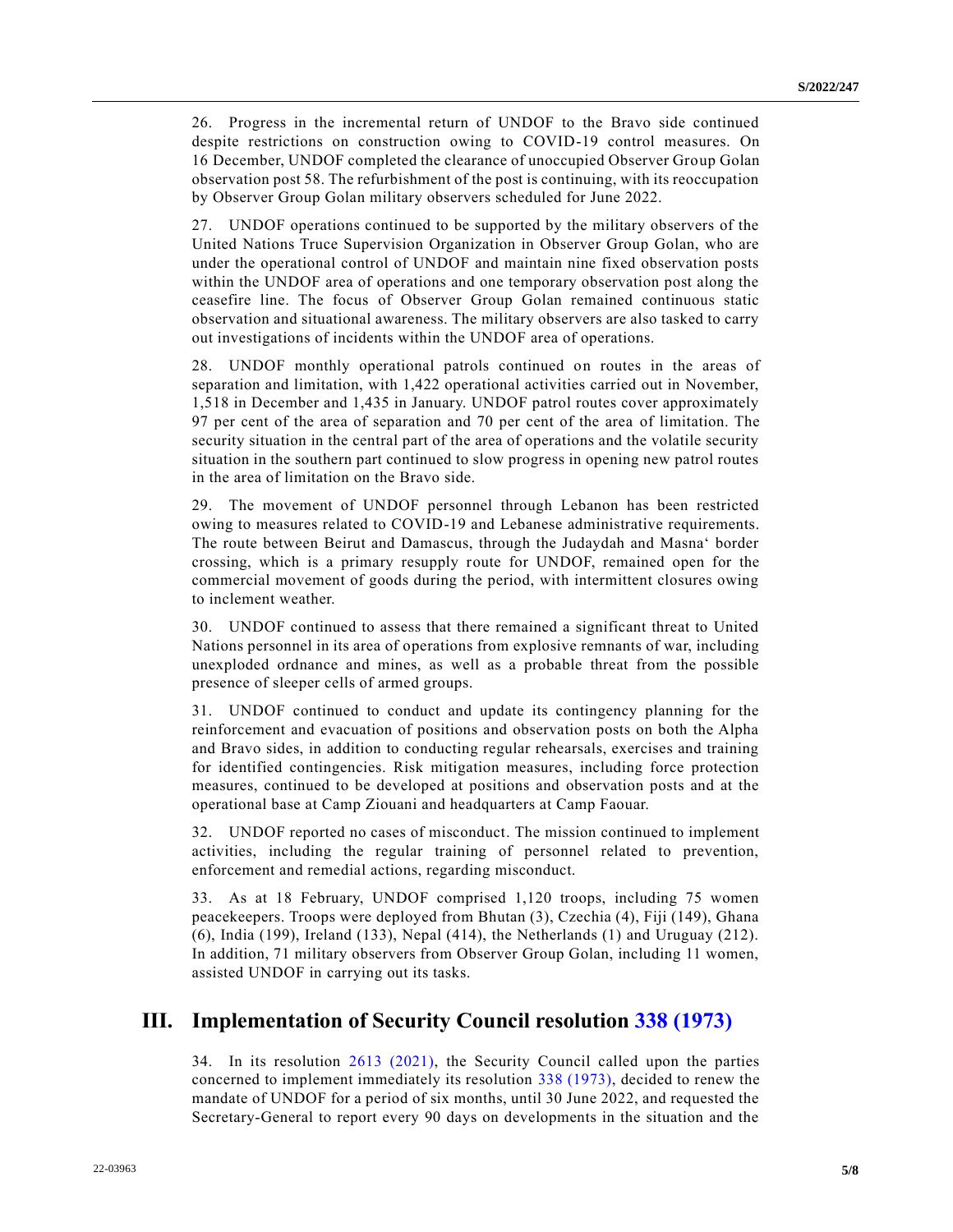26. Progress in the incremental return of UNDOF to the Bravo side continued despite restrictions on construction owing to COVID-19 control measures. On 16 December, UNDOF completed the clearance of unoccupied Observer Group Golan observation post 58. The refurbishment of the post is continuing, with its reoccupation by Observer Group Golan military observers scheduled for June 2022.

27. UNDOF operations continued to be supported by the military observers of the United Nations Truce Supervision Organization in Observer Group Golan, who are under the operational control of UNDOF and maintain nine fixed observation posts within the UNDOF area of operations and one temporary observation post along the ceasefire line. The focus of Observer Group Golan remained continuous static observation and situational awareness. The military observers are also tasked to carry out investigations of incidents within the UNDOF area of operations.

28. UNDOF monthly operational patrols continued on routes in the areas of separation and limitation, with 1,422 operational activities carried out in November, 1,518 in December and 1,435 in January. UNDOF patrol routes cover approximately 97 per cent of the area of separation and 70 per cent of the area of limitation. The security situation in the central part of the area of operations and the volatile security situation in the southern part continued to slow progress in opening new patrol routes in the area of limitation on the Bravo side.

29. The movement of UNDOF personnel through Lebanon has been restricted owing to measures related to COVID-19 and Lebanese administrative requirements. The route between Beirut and Damascus, through the Judaydah and Masna' border crossing, which is a primary resupply route for UNDOF, remained open for the commercial movement of goods during the period, with intermittent closures owing to inclement weather.

30. UNDOF continued to assess that there remained a significant threat to United Nations personnel in its area of operations from explosive remnants of war, including unexploded ordnance and mines, as well as a probable threat from the possible presence of sleeper cells of armed groups.

31. UNDOF continued to conduct and update its contingency planning for the reinforcement and evacuation of positions and observation posts on both the Alpha and Bravo sides, in addition to conducting regular rehearsals, exercises and training for identified contingencies. Risk mitigation measures, including force protection measures, continued to be developed at positions and observation posts and at the operational base at Camp Ziouani and headquarters at Camp Faouar.

32. UNDOF reported no cases of misconduct. The mission continued to implement activities, including the regular training of personnel related to prevention, enforcement and remedial actions, regarding misconduct.

33. As at 18 February, UNDOF comprised 1,120 troops, including 75 women peacekeepers. Troops were deployed from Bhutan (3), Czechia (4), Fiji (149), Ghana (6), India (199), Ireland (133), Nepal (414), the Netherlands (1) and Uruguay (212). In addition, 71 military observers from Observer Group Golan, including 11 women, assisted UNDOF in carrying out its tasks.

## **III. Implementation of Security Council resolution [338 \(1973\)](https://undocs.org/en/S/RES/338(1973))**

34. In its resolution [2613 \(2021\),](https://undocs.org/en/S/RES/2613(2021)) the Security Council called upon the parties concerned to implement immediately its resolution [338 \(1973\),](https://undocs.org/en/S/RES/338(1973)) decided to renew the mandate of UNDOF for a period of six months, until 30 June 2022, and requested the Secretary-General to report every 90 days on developments in the situation and the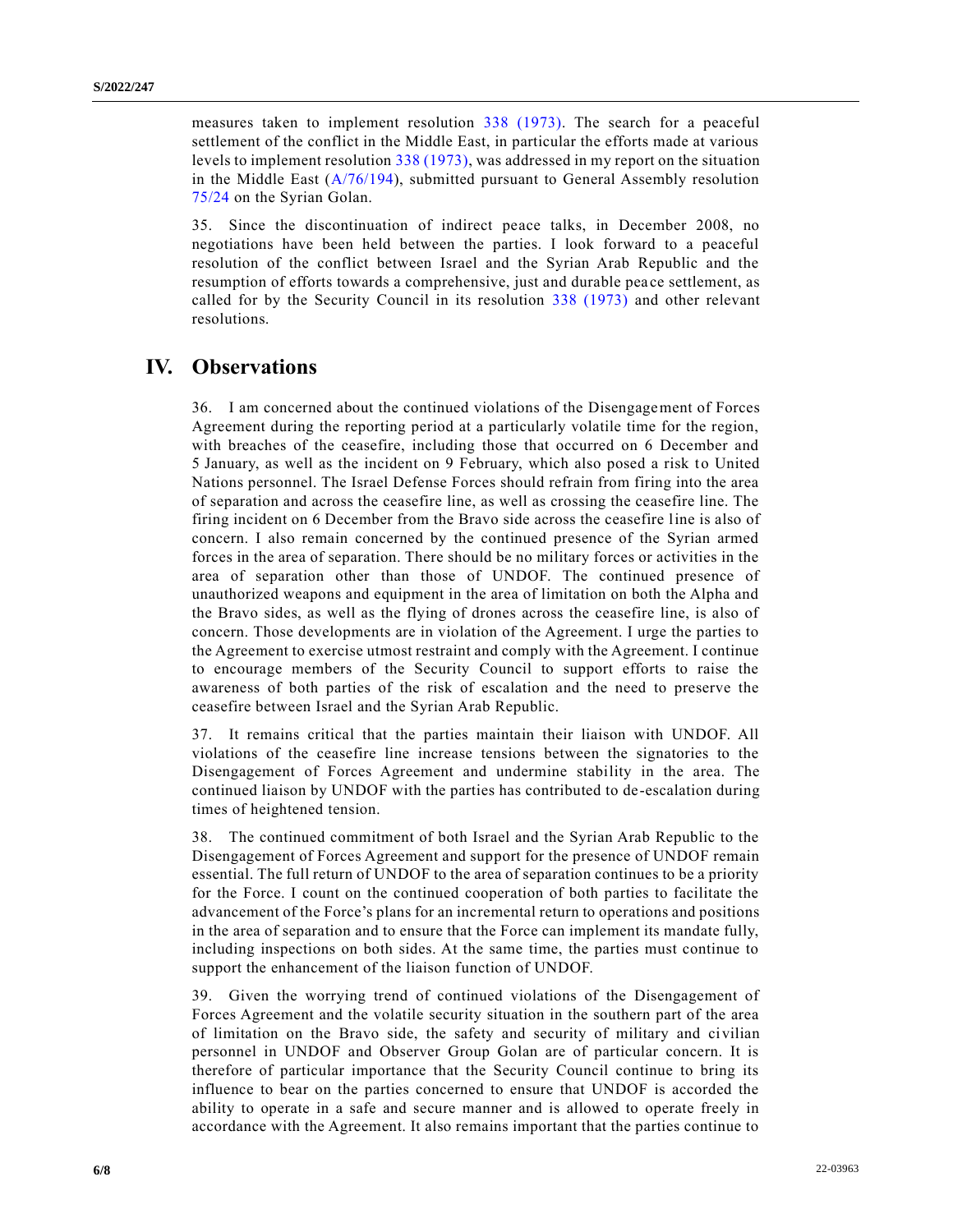measures taken to implement resolution [338 \(1973\).](https://undocs.org/en/S/RES/338(1973)) The search for a peaceful settlement of the conflict in the Middle East, in particular the efforts made at various levels to implement resolution [338 \(1973\),](https://undocs.org/en/S/RES/338(1973)) was addressed in my report on the situation in the Middle East [\(A/76/194\)](https://undocs.org/en/A/76/194), submitted pursuant to General Assembly resolution [75/24](https://undocs.org/en/A/RES/75/24) on the Syrian Golan.

35. Since the discontinuation of indirect peace talks, in December 2008, no negotiations have been held between the parties. I look forward to a peaceful resolution of the conflict between Israel and the Syrian Arab Republic and the resumption of efforts towards a comprehensive, just and durable pea ce settlement, as called for by the Security Council in its resolution [338 \(1973\)](https://undocs.org/en/S/RES/338(1973)) and other relevant resolutions.

## **IV. Observations**

36. I am concerned about the continued violations of the Disengagement of Forces Agreement during the reporting period at a particularly volatile time for the region, with breaches of the ceasefire, including those that occurred on 6 December and 5 January, as well as the incident on 9 February, which also posed a risk to United Nations personnel. The Israel Defense Forces should refrain from firing into the area of separation and across the ceasefire line, as well as crossing the ceasefire line. The firing incident on 6 December from the Bravo side across the ceasefire line is also of concern. I also remain concerned by the continued presence of the Syrian armed forces in the area of separation. There should be no military forces or activities in the area of separation other than those of UNDOF. The continued presence of unauthorized weapons and equipment in the area of limitation on both the Alpha and the Bravo sides, as well as the flying of drones across the ceasefire line, is also of concern. Those developments are in violation of the Agreement. I urge the parties to the Agreement to exercise utmost restraint and comply with the Agreement. I continue to encourage members of the Security Council to support efforts to raise the awareness of both parties of the risk of escalation and the need to preserve the ceasefire between Israel and the Syrian Arab Republic.

37. It remains critical that the parties maintain their liaison with UNDOF. All violations of the ceasefire line increase tensions between the signatories to the Disengagement of Forces Agreement and undermine stability in the area. The continued liaison by UNDOF with the parties has contributed to de-escalation during times of heightened tension.

38. The continued commitment of both Israel and the Syrian Arab Republic to the Disengagement of Forces Agreement and support for the presence of UNDOF remain essential. The full return of UNDOF to the area of separation continues to be a priority for the Force. I count on the continued cooperation of both parties to facilitate the advancement of the Force's plans for an incremental return to operations and positions in the area of separation and to ensure that the Force can implement its mandate fully, including inspections on both sides. At the same time, the parties must continue to support the enhancement of the liaison function of UNDOF.

39. Given the worrying trend of continued violations of the Disengagement of Forces Agreement and the volatile security situation in the southern part of the area of limitation on the Bravo side, the safety and security of military and civilian personnel in UNDOF and Observer Group Golan are of particular concern. It is therefore of particular importance that the Security Council continue to bring its influence to bear on the parties concerned to ensure that UNDOF is accorded the ability to operate in a safe and secure manner and is allowed to operate freely in accordance with the Agreement. It also remains important that the parties continue to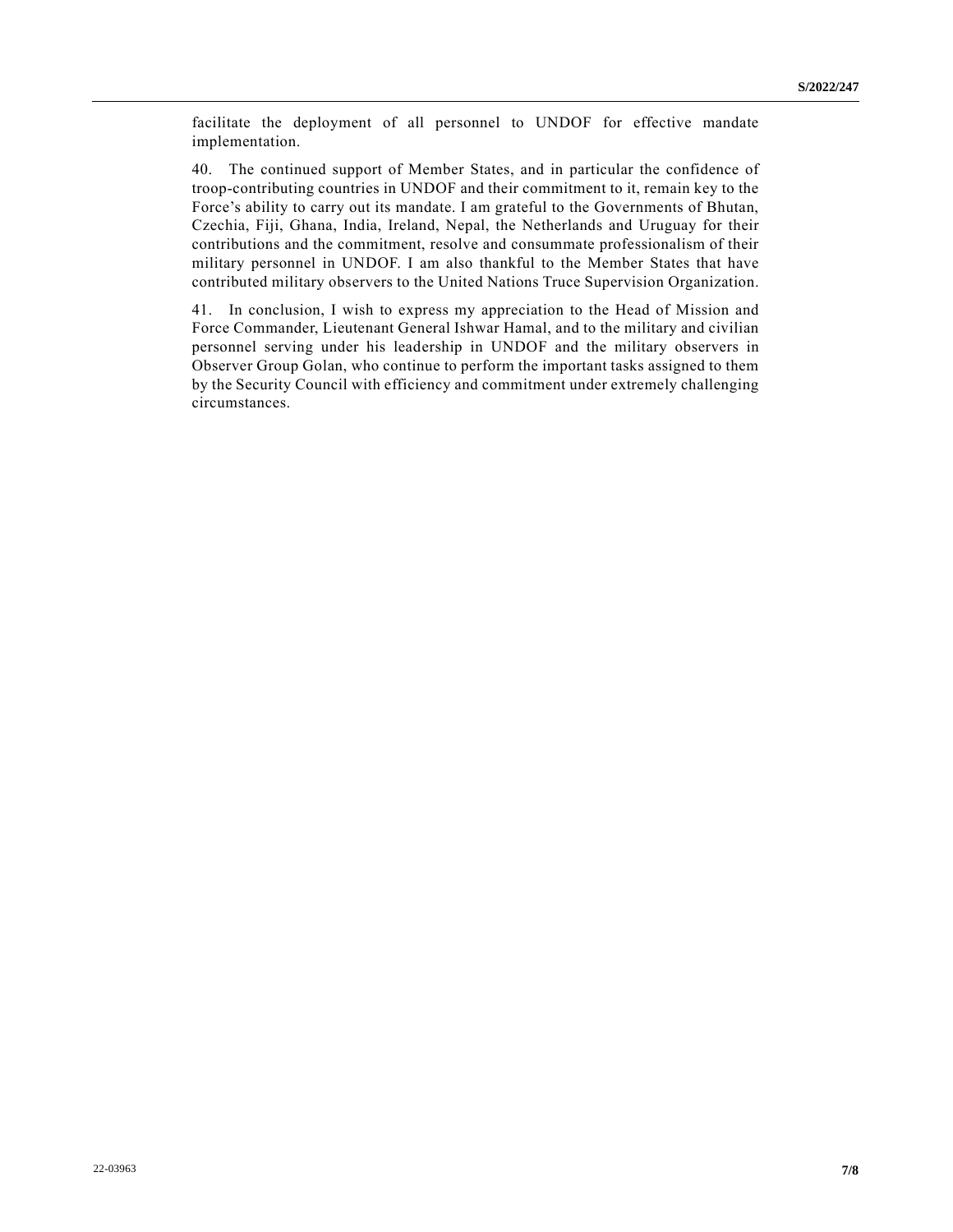facilitate the deployment of all personnel to UNDOF for effective mandate implementation.

40. The continued support of Member States, and in particular the confidence of troop-contributing countries in UNDOF and their commitment to it, remain key to the Force's ability to carry out its mandate. I am grateful to the Governments of Bhutan, Czechia, Fiji, Ghana, India, Ireland, Nepal, the Netherlands and Uruguay for their contributions and the commitment, resolve and consummate professionalism of their military personnel in UNDOF. I am also thankful to the Member States that have contributed military observers to the United Nations Truce Supervision Organization.

41. In conclusion, I wish to express my appreciation to the Head of Mission and Force Commander, Lieutenant General Ishwar Hamal, and to the military and civilian personnel serving under his leadership in UNDOF and the military observers in Observer Group Golan, who continue to perform the important tasks assigned to them by the Security Council with efficiency and commitment under extremely challenging circumstances.